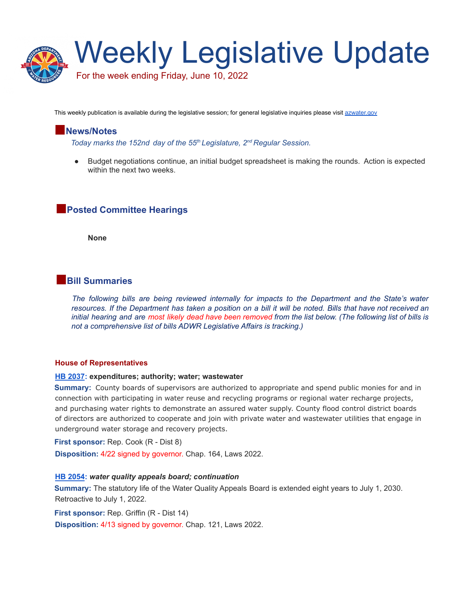

This weekly publication is available during the legislative session; for general legislative inquiries please visit [azwater.gov](https://new.azwater.gov/programs/legislative-affairs)

# **News/Notes**

*Today marks the 152nd day of the 55 th Legislature, 2 nd Regular Session.*

● Budget negotiations continue, an initial budget spreadsheet is making the rounds. Action is expected within the next two weeks.

# **Posted Committee Hearings**

**None**

# **Bill Summaries**

*The following bills are being reviewed internally for impacts to the Department and the State's water* resources. If the Department has taken a position on a bill it will be noted. Bills that have not received an initial hearing and are most likely dead have been removed from the list below. (The following list of bills is *not a comprehensive list of bills ADWR Legislative Affairs is tracking.)*

#### **House of Representatives**

#### **HB [2037](https://www.azleg.gov/legtext/55leg/2R/laws/0164.pdf): expenditures; authority; water; wastewater**

**Summary:** County boards of supervisors are authorized to appropriate and spend public monies for and in connection with participating in water reuse and recycling programs or regional water recharge projects, and purchasing water rights to demonstrate an assured water supply. County flood control district boards of directors are authorized to cooperate and join with private water and wastewater utilities that engage in underground water storage and recovery projects.

**First sponsor:** Rep. Cook (R - Dist 8)

**Disposition:** 4/22 signed by governor. Chap. 164, Laws 2022.

#### **HB [2054](https://www.azleg.gov/legtext/55leg/2R/bills/hb2054h.pdf):** *water quality appeals board; continuation*

**Summary:** The statutory life of the Water Quality Appeals Board is extended eight years to July 1, 2030. Retroactive to July 1, 2022.

**First sponsor:** Rep. Griffin (R - Dist 14)

**Disposition:** 4/13 signed by governor. Chap. 121, Laws 2022.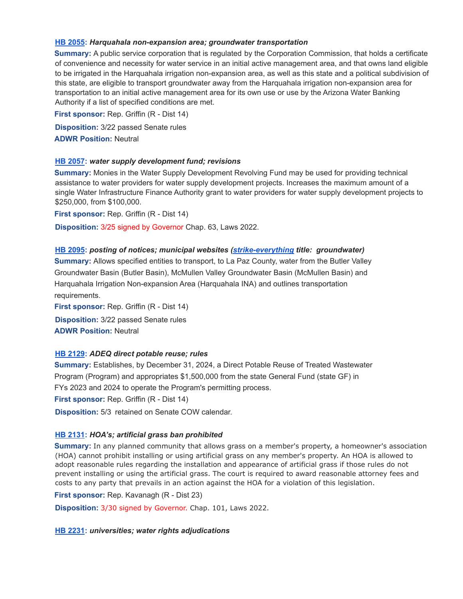## **HB [2055](https://www.azleg.gov/legtext/55leg/2R/bills/hb2055h.pdf):** *Harquahala non-expansion area; groundwater transportation*

**Summary:** A public service corporation that is regulated by the Corporation Commission, that holds a certificate of convenience and necessity for water service in an initial active management area, and that owns land eligible to be irrigated in the Harquahala irrigation non-expansion area, as well as this state and a political subdivision of this state, are eligible to transport groundwater away from the Harquahala irrigation non-expansion area for transportation to an initial active management area for its own use or use by the Arizona Water Banking Authority if a list of specified conditions are met.

**First sponsor:** Rep. Griffin (R - Dist 14) **Disposition:** 3/22 passed Senate rules **ADWR Position:** Neutral

## **HB [2057](https://www.azleg.gov/legtext/55leg/2R/laws/0063.pdf):** *water supply development fund; revisions*

**Summary:** Monies in the Water Supply Development Revolving Fund may be used for providing technical assistance to water providers for water supply development projects. Increases the maximum amount of a single Water Infrastructure Finance Authority grant to water providers for water supply development projects to \$250,000, from \$100,000.

**First sponsor:** Rep. Griffin (R - Dist 14)

**Disposition:** 3/25 signed by Governor Chap. 63, Laws 2022.

## **HB [2095](https://www.azleg.gov/legtext/55leg/2R/bills/hb2095h.pdf):** *posting of notices; municipal websites [\(strike-everything](https://www.azleg.gov/legtext/55leg/2R/adopted/S.2095NREW.pdf) title: groundwater)*

**Summary:** Allows specified entities to transport, to La Paz County, water from the Butler Valley Groundwater Basin (Butler Basin), McMullen Valley Groundwater Basin (McMullen Basin) and Harquahala Irrigation Non-expansion Area (Harquahala INA) and outlines transportation requirements.

**First sponsor:** Rep. Griffin (R - Dist 14) **Disposition:** 3/22 passed Senate rules **ADWR Position:** Neutral

# **HB [2129](https://www.azleg.gov/legtext/55leg/2R/bills/hb2129h.pdf):** *ADEQ direct potable reuse; rules*

**Summary:** Establishes, by December 31, 2024, a Direct Potable Reuse of Treated Wastewater Program (Program) and appropriates \$1,500,000 from the state General Fund (state GF) in FYs 2023 and 2024 to operate the Program's permitting process. **First sponsor:** Rep. Griffin (R - Dist 14)

**Disposition:** 5/3 retained on Senate COW calendar.

# **HB [2131](https://www.azleg.gov/legtext/55leg/2R/laws/0101.pdf):** *HOA's; artificial grass ban prohibited*

**Summary:** In any planned community that allows grass on a member's property, a homeowner's association (HOA) cannot prohibit installing or using artificial grass on any member's property. An HOA is allowed to adopt reasonable rules regarding the installation and appearance of artificial grass if those rules do not prevent installing or using the artificial grass. The court is required to award reasonable attorney fees and costs to any party that prevails in an action against the HOA for a violation of this legislation.

**First sponsor:** Rep. Kavanagh (R - Dist 23)

**Disposition:** 3/30 signed by Governor. Chap. 101, Laws 2022.

### **HB [2231](https://www.azleg.gov/legtext/55leg/2R/laws/0152.pdf):** *universities; water rights adjudications*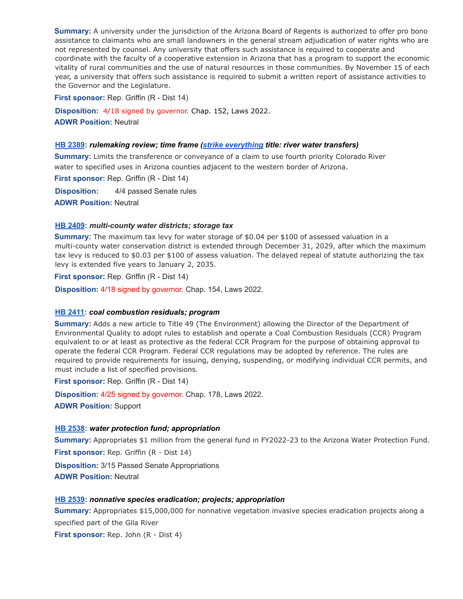**Summary:** A university under the jurisdiction of the Arizona Board of Regents is authorized to offer pro bono assistance to claimants who are small landowners in the general stream adjudication of water rights who are not represented by counsel. Any university that offers such assistance is required to cooperate and coordinate with the faculty of a cooperative extension in Arizona that has a program to support the economic vitality of rural communities and the use of natural resources in those communities. By November 15 of each year, a university that offers such assistance is required to submit a written report of assistance activities to the Governor and the Legislature.

**First sponsor:** Rep. Griffin (R - Dist 14)

**Disposition:** 4/18 signed by governor. Chap. 152, Laws 2022. **ADWR Position:** Neutral

#### **HB [2389](https://www.azleg.gov/legtext/55leg/2R/bills/hb2389h.pdf):** *rulemaking review; time frame (strike [everything](https://www.azleg.gov/legtext/55leg/2R/adopted/S.2389%20NREW.pdf) title: river water transfers)*

**Summary:** Limits the transference or conveyance of a claim to use fourth priority Colorado River water to specified uses in Arizona counties adjacent to the western border of Arizona.

**First sponsor:** Rep. Griffin (R - Dist 14)

**Disposition:** 4/4 passed Senate rules

**ADWR Position:** Neutral

### **HB [2409](https://www.azleg.gov/legtext/55leg/2R/laws/0154.pdf):** *multi-county water districts; storage tax*

**Summary:** The maximum tax levy for water storage of \$0.04 per \$100 of assessed valuation in a multi-county water conservation district is extended through December 31, 2029, after which the maximum tax levy is reduced to \$0.03 per \$100 of assess valuation. The delayed repeal of statute authorizing the tax levy is extended five years to January 2, 2035.

**First sponsor:** Rep. Griffin (R - Dist 14)

**Disposition:** 4/18 signed by governor. Chap. 154, Laws 2022.

### **HB [2411:](https://www.azleg.gov/legtext/55leg/2R/laws/0178.pdf)** *coal combustion residuals; program*

**Summary:** Adds a new article to Title 49 (The Environment) allowing the Director of the Department of Environmental Quality to adopt rules to establish and operate a Coal Combustion Residuals (CCR) Program equivalent to or at least as protective as the federal CCR Program for the purpose of obtaining approval to operate the federal CCR Program. Federal CCR regulations may be adopted by reference. The rules are required to provide requirements for issuing, denying, suspending, or modifying individual CCR permits, and must include a list of specified provisions.

**First sponsor:** Rep. Griffin (R - Dist 14)

**Disposition:** 4/25 signed by governor. Chap. 178, Laws 2022. **ADWR Position:** Support

### **HB [2538](https://www.azleg.gov/legtext/55leg/2R/bills/hb2538h.pdf):** *water protection fund; appropriation*

**Summary:** Appropriates \$1 million from the general fund in FY2022-23 to the Arizona Water Protection Fund.

**First sponsor:** Rep. Griffin (R - Dist 14)

**Disposition:** 3/15 Passed Senate Appropriations

**ADWR Position:** Neutral

### **HB [2539](https://www.azleg.gov/legtext/55leg/2R/bills/hb2539p.pdf):** *nonnative species eradication; projects; appropriation*

**Summary:** Appropriates \$15,000,000 for nonnative vegetation invasive species eradication projects along a specified part of the Gila River

**First sponsor:** Rep. John (R - Dist 4)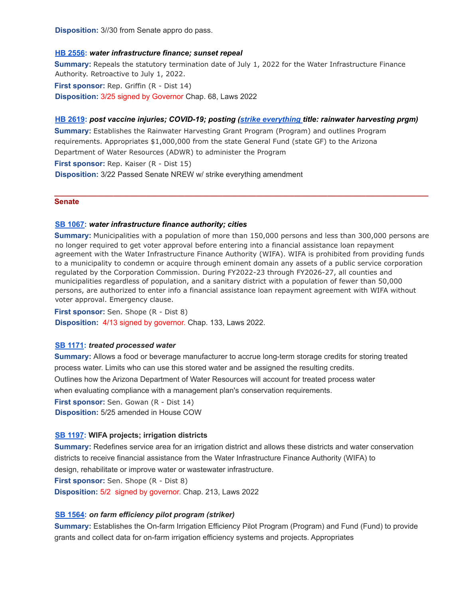**Disposition:** 3//30 from Senate appro do pass.

### **HB [2556](https://www.azleg.gov/legtext/55leg/2R/laws/0068.pdf):** *water infrastructure finance; sunset repeal*

**Summary:** Repeals the statutory termination date of July 1, 2022 for the Water Infrastructure Finance Authority. Retroactive to July 1, 2022.

**First sponsor:** Rep. Griffin (R - Dist 14) **Disposition:** 3/25 signed by Governor Chap. 68, Laws 2022

### **HB [2619](https://www.azleg.gov/legtext/55leg/2R/bills/hb2619h.pdf):** *post vaccine injuries; COVID-19; posting (strike [everything](https://www.azleg.gov/legtext/55leg/2R/adopted/S.2619NREW.pdf) title: rainwater harvesting prgm)*

**Summary:** Establishes the Rainwater Harvesting Grant Program (Program) and outlines Program requirements. Appropriates \$1,000,000 from the state General Fund (state GF) to the Arizona Department of Water Resources (ADWR) to administer the Program **First sponsor:** Rep. Kaiser (R - Dist 15) **Disposition:** 3/22 Passed Senate NREW w/ strike everything amendment

#### **Senate**

#### **SB [1067:](https://www.azleg.gov/legtext/55leg/2R/laws/0133.pdf)** *water infrastructure finance authority; cities*

**Summary:** Municipalities with a population of more than 150,000 persons and less than 300,000 persons are no longer required to get voter approval before entering into a financial assistance loan repayment agreement with the Water Infrastructure Finance Authority (WIFA). WIFA is prohibited from providing funds to a municipality to condemn or acquire through eminent domain any assets of a public service corporation regulated by the Corporation Commission. During FY2022-23 through FY2026-27, all counties and municipalities regardless of population, and a sanitary district with a population of fewer than 50,000 persons, are authorized to enter info a financial assistance loan repayment agreement with WIFA without voter approval. Emergency clause.

**\_\_\_\_\_\_\_\_\_\_\_\_\_\_\_\_\_\_\_\_\_\_\_\_\_\_\_\_\_\_\_\_\_\_\_\_\_\_\_\_\_\_\_\_\_\_\_\_\_\_\_\_\_\_\_\_\_\_\_\_\_\_\_\_\_\_\_\_\_\_\_\_\_\_\_\_\_\_\_\_\_\_\_\_\_\_\_\_\_**

**First sponsor:** Sen. Shope (R - Dist 8) **Disposition:** 4/13 signed by governor. Chap. 133, Laws 2022.

#### **SB [1171](https://www.azleg.gov/legtext/55leg/2R/bills/SB1171H.pdf):** *treated processed water*

**Summary:** Allows a food or beverage manufacturer to accrue long-term storage credits for storing treated process water. Limits who can use this stored water and be assigned the resulting credits. Outlines how the Arizona Department of Water Resources will account for treated process water when evaluating compliance with a management plan's conservation requirements. **First sponsor:** Sen. Gowan (R - Dist 14) **Disposition:** 5/25 amended in House COW

#### **SB [1197](https://www.azleg.gov/legtext/55leg/2R/laws/0213.pdf): WIFA projects; irrigation districts**

**Summary:** Redefines service area for an irrigation district and allows these districts and water conservation districts to receive financial assistance from the Water Infrastructure Finance Authority (WIFA) to design, rehabilitate or improve water or wastewater infrastructure. **First sponsor:** Sen. Shope (R - Dist 8) **Disposition:** 5/2 signed by governor. Chap. 213, Laws 2022

## **SB [1564:](https://www.azleg.gov/legtext/55leg/2R/bills/sb1564s.pdf)** *on farm efficiency pilot program (striker)*

**Summary:** Establishes the On-farm Irrigation Efficiency Pilot Program (Program) and Fund (Fund) to provide grants and collect data for on-farm irrigation efficiency systems and projects. Appropriates